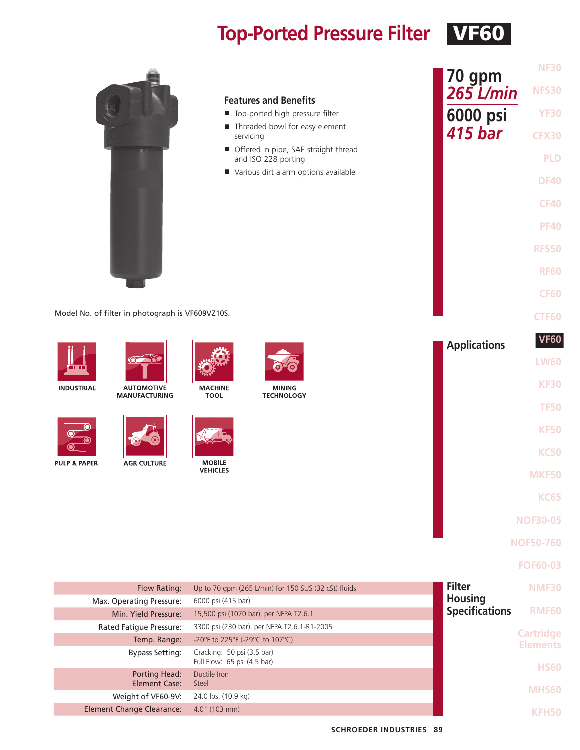## **Top-Ported Pressure Filter VF60**

| Model No. of filter in photograph is VF609VZ10S.                                                                                      | <b>Features and Benefits</b><br>Top-ported high pressure filter<br>Threaded bowl for easy element<br>servicing<br>Offered in pipe, SAE straight thread<br>and ISO 228 porting<br>Various dirt alarm options available                                               | <b>NF30</b><br>70 gpm<br>$265$ L/min<br><b>NFS30</b><br>6000 psi<br><b>YF30</b><br>415 bar<br><b>CFX30</b><br><b>PLD</b><br><b>DF40</b><br><b>CF40</b><br><b>PF40</b><br><b>RFS50</b><br><b>RF60</b><br><b>CF60</b><br><b>CTF60</b> |
|---------------------------------------------------------------------------------------------------------------------------------------|---------------------------------------------------------------------------------------------------------------------------------------------------------------------------------------------------------------------------------------------------------------------|-------------------------------------------------------------------------------------------------------------------------------------------------------------------------------------------------------------------------------------|
| <b>AUTOMOTIVE</b><br><b>INDUSTRIAL</b><br><b>MANUFACTURING</b><br><b>PULP &amp; PAPER</b><br><b>AGRICULTURE</b>                       | <b>MACHINE</b><br><b>MINING</b><br><b>TOOL</b><br><b>TECHNOLOGY</b><br><b>MOBILE</b><br><b>VEHICLES</b>                                                                                                                                                             | <b>VF60</b><br><b>Applications</b><br><b>LW60</b><br><b>KF30</b><br><b>TF50</b><br><b>KF50</b><br><b>KC50</b><br><b>MKF50</b>                                                                                                       |
|                                                                                                                                       |                                                                                                                                                                                                                                                                     | <b>KC65</b><br><b>NOF30-05</b><br><b>NOF50-760</b><br><b>FOF60-03</b>                                                                                                                                                               |
| Flow Rating:<br>Max. Operating Pressure:<br>Min. Yield Pressure:<br>Rated Fatigue Pressure:<br>Temp. Range:<br><b>Bypass Setting:</b> | Up to 70 gpm (265 L/min) for 150 SUS (32 cSt) fluids<br>6000 psi (415 bar)<br>15,500 psi (1070 bar), per NFPA T2.6.1<br>3300 psi (230 bar), per NFPA T2.6.1-R1-2005<br>-20°F to 225°F (-29°C to 107°C)<br>Cracking: 50 psi (3.5 bar)<br>Full Flow: 65 psi (4.5 bar) | <b>Filter</b><br><b>NMF30</b><br><b>Housing</b><br><b>Specifications</b><br><b>RMF60</b><br><b>Cartridge</b><br><b>Elements</b>                                                                                                     |
| <b>Porting Head:</b><br><b>Element Case:</b><br>Weight of VF60-9V:<br><b>Element Change Clearance:</b>                                | Ductile Iron<br>Steel<br>24.0 lbs. (10.9 kg)<br>4.0" (103 mm)                                                                                                                                                                                                       | <b>HS60</b><br><b>MHS60</b><br><b>KFH50</b>                                                                                                                                                                                         |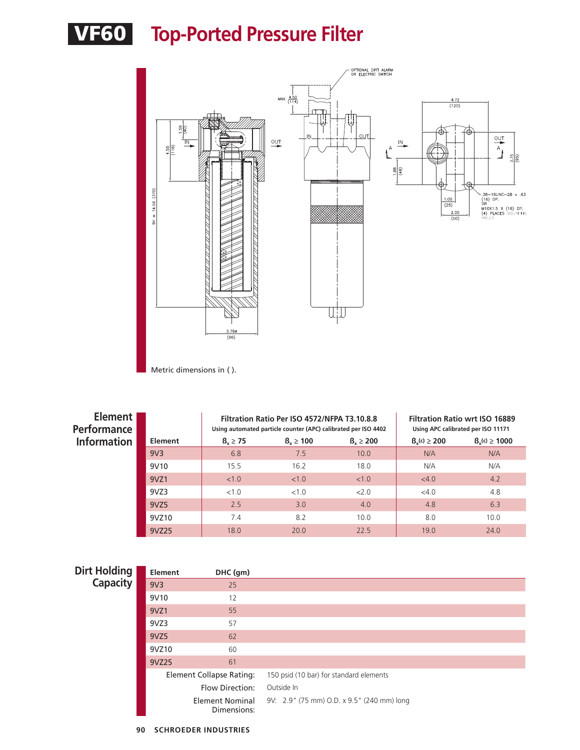



Metric dimensions in ( ).

| Element  <br><b>Performance</b> |                 |               | Filtration Ratio Per ISO 4572/NFPA T3.10.8.8<br>Using automated particle counter (APC) calibrated per ISO 4402 |               |                  | <b>Filtration Ratio wrt ISO 16889</b><br>Using APC calibrated per ISO 11171 |
|---------------------------------|-----------------|---------------|----------------------------------------------------------------------------------------------------------------|---------------|------------------|-----------------------------------------------------------------------------|
| <b>Information</b>              | Element         | $B_x \geq 75$ | $B_v \ge 100$                                                                                                  | $B_v \ge 200$ | $B_v(c) \ge 200$ | $B_v(c) \ge 1000$                                                           |
|                                 | 9V <sub>3</sub> | 6.8           | 7.5                                                                                                            | 10.0          | N/A              | N/A                                                                         |
|                                 | 9V10            | 15.5          | 16.2                                                                                                           | 18.0          | N/A              | N/A                                                                         |
|                                 | 9VZ1            | < 1.0         | < 1.0                                                                                                          | < 1.0         | $<$ 4.0          | 4.2                                                                         |
|                                 | 9VZ3            | <1.0          | <1.0                                                                                                           | 2.0           | <4.0             | 4.8                                                                         |
|                                 | 9VZ5            | 2.5           | 3.0                                                                                                            | 4.0           | 4.8              | 6.3                                                                         |
|                                 | 9VZ10           | 7.4           | 8.2                                                                                                            | 10.0          | 8.0              | 10.0                                                                        |
|                                 | 9VZ25           | 18.0          | 20.0                                                                                                           | 22.5          | 19.0             | 24.0                                                                        |

| <b>Dirt Holding</b> | <b>Element</b>  | DHC (gm)                        |                                            |
|---------------------|-----------------|---------------------------------|--------------------------------------------|
| <b>Capacity</b>     | 9V <sub>3</sub> | 25                              |                                            |
|                     | 9V10            | 12                              |                                            |
|                     | 9VZ1            | 55                              |                                            |
|                     | 9VZ3            | 57                              |                                            |
|                     | 9VZ5            | 62                              |                                            |
|                     | 9VZ10           | 60                              |                                            |
|                     | 9VZ25           | 61                              |                                            |
|                     |                 | <b>Element Collapse Rating:</b> | 150 psid (10 bar) for standard elements    |
|                     |                 | Flow Direction:                 | Outside In                                 |
|                     |                 | Element Nominal<br>Dimensions:  | 9V: 2.9" (75 mm) O.D. x 9.5" (240 mm) long |
|                     |                 |                                 |                                            |

**90 SCHROEDER INDUSTRIES**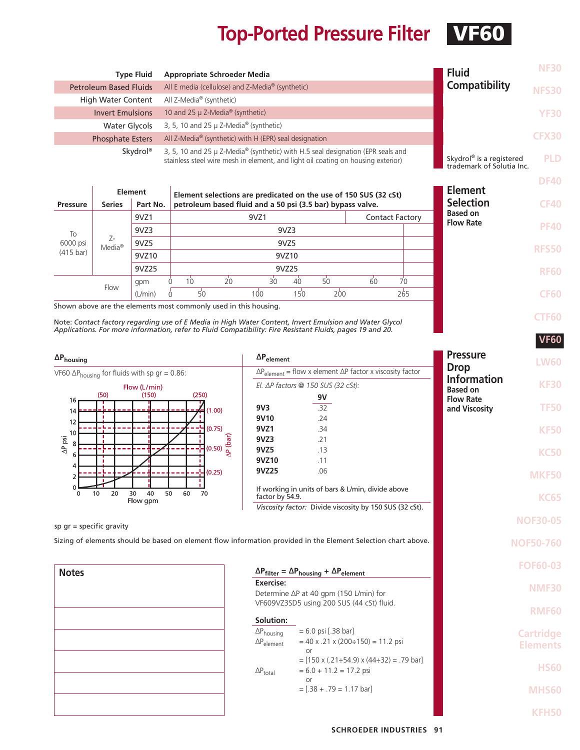## **Top-Ported Pressure Filter VF60**

**DF40**

**CF40**

**PF40**

**RFS50**

**RF60**

**CF60**

**CTF60**

**VF60**

**HS60**

**MHS60**

**KFH50**

| <b>Type Fluid</b>             | <b>Appropriate Schroeder Media</b>                                                                                                                                  | <b>Fluid</b>                                                      | <b>NF30</b>  |
|-------------------------------|---------------------------------------------------------------------------------------------------------------------------------------------------------------------|-------------------------------------------------------------------|--------------|
| <b>Petroleum Based Fluids</b> | All E media (cellulose) and Z-Media <sup>®</sup> (synthetic)                                                                                                        | Compatibility                                                     | <b>NFS30</b> |
| <b>High Water Content</b>     | All Z-Media <sup>®</sup> (synthetic)                                                                                                                                |                                                                   |              |
| <b>Invert Emulsions</b>       | 10 and 25 $\mu$ Z-Media <sup>®</sup> (synthetic)                                                                                                                    |                                                                   | <b>YF30</b>  |
| Water Glycols                 | 3, 5, 10 and 25 $\mu$ Z-Media <sup>®</sup> (synthetic)                                                                                                              |                                                                   |              |
| <b>Phosphate Esters</b>       | All Z-Media® (synthetic) with H (EPR) seal designation                                                                                                              |                                                                   | <b>CFX30</b> |
| Skydrol <sup>®</sup>          | 3, 5, 10 and 25 µ Z-Media® (synthetic) with H.5 seal designation (EPR seals and<br>stainless steel wire mesh in element, and light oil coating on housing exterior) | Skydrol <sup>®</sup> is a registered<br>trademark of Solutia Inc. | <b>PLD</b>   |

|                     |                             | <b>Element</b> |   |                                                            |    | Element selections are predicated on the use of 150 SUS (32 cSt) |       |     |    |                        | <b>Element</b>                      |
|---------------------|-----------------------------|----------------|---|------------------------------------------------------------|----|------------------------------------------------------------------|-------|-----|----|------------------------|-------------------------------------|
| <b>Pressure</b>     | <b>Series</b>               | Part No.       |   | petroleum based fluid and a 50 psi (3.5 bar) bypass valve. |    |                                                                  |       |     |    |                        | <b>Selection</b>                    |
|                     |                             | 9VZ1           |   |                                                            |    | 9VZ1                                                             |       |     |    | <b>Contact Factory</b> | <b>Based on</b><br><b>Flow Rate</b> |
| To                  |                             | 9VZ3           |   |                                                            |    |                                                                  | 9VZ3  |     |    |                        |                                     |
| 6000 psi            | $Z-$<br>$Media^{\circledR}$ | 9VZ5           |   |                                                            |    |                                                                  | 9VZ5  |     |    |                        |                                     |
| $(415 \text{ bar})$ |                             | 9VZ10          |   |                                                            |    |                                                                  | 9VZ10 |     |    |                        |                                     |
|                     |                             | 9VZ25          |   |                                                            |    |                                                                  | 9VZ25 |     |    |                        |                                     |
|                     |                             | qpm            |   | 10                                                         | 20 | 30                                                               | 40    | 50  | 60 | 70                     |                                     |
|                     | Flow                        | (L/min)        | 0 | 50                                                         |    | 100                                                              | 150   | 200 |    | 265                    |                                     |

Shown above are the elements most commonly used in this housing.

Note: *Contact factory regarding use of E Media in High Water Content, Invert Emulsion and Water Glycol Applications. For more information, refer to Fluid Compatibility: Fire Resistant Fluids, pages 19 and 20.*

| $\Delta P_{\text{housing}}$                                                                                   | $\Delta P_{element}$                                                                                                            | <b>Pressure</b><br><b>LW60</b>                       |
|---------------------------------------------------------------------------------------------------------------|---------------------------------------------------------------------------------------------------------------------------------|------------------------------------------------------|
| VF60 $\Delta P_{\text{housing}}$ for fluids with sp gr = 0.86:                                                | $\Delta P_{element}$ = flow x element $\Delta P$ factor x viscosity factor                                                      | <b>Drop</b>                                          |
| Flow (L/min)<br>(250)<br>(150)<br>(50)                                                                        | El. $\Delta P$ factors @ 150 SUS (32 cSt):<br>9V                                                                                | <b>Information</b><br><b>KF30</b><br><b>Based on</b> |
| 16 <sub>1</sub><br>(1,00)<br>14                                                                               | .32<br>9V <sub>3</sub><br>.24<br>9V10                                                                                           | <b>Flow Rate</b><br><b>TF50</b><br>and Viscosity     |
| 12<br>H(0.75)<br>10                                                                                           | .34<br>9VZ1<br>9VZ3<br>.21                                                                                                      | <b>KF50</b>                                          |
| $\frac{1}{2}$ (0.50)<br>$\frac{1}{2}$<br>$\frac{1}{2}$<br>$\Delta P$ psi<br>8<br>6<br>4                       | 9VZ5<br>.13<br>9VZ10<br>.11                                                                                                     | <b>KC50</b>                                          |
| (0.25)                                                                                                        | 9VZ25<br>.06                                                                                                                    | <b>MKF50</b>                                         |
| 30<br>40<br>50<br>60<br>20<br>10<br>70<br>0<br>Flow gpm                                                       | If working in units of bars & L/min, divide above<br>factor by 54.9.<br>Viscosity factor: Divide viscosity by 150 SUS (32 cSt). | <b>KC65</b>                                          |
| sp $qr = specific gravity$                                                                                    |                                                                                                                                 | <b>NOF30-05</b>                                      |
| Sizing of elements should be based on element flow information provided in the Element Selection chart above. |                                                                                                                                 | <b>NOF50-760</b>                                     |
| <b>Notes</b>                                                                                                  | $\Delta P_{filter} = \Delta P_{housing} + \Delta P_{element}$                                                                   | <b>FOF60-03</b>                                      |
|                                                                                                               | Exercise:<br>Determine ∆P at 40 gpm (150 L/min) for<br>VF609VZ3SD5 using 200 SUS (44 cSt) fluid.                                | <b>NMF30</b>                                         |
|                                                                                                               | Solution:                                                                                                                       | <b>RMF60</b>                                         |
|                                                                                                               | $= 6.0$ psi [.38 bar]<br>$\Delta P_{\text{housing}}$<br>$= 40$ x .21 x (200÷150) = 11.2 psi<br>$\Delta P_{element}$             | <b>Cartridge</b><br><b>Elements</b>                  |

or

 $\Delta P_{\text{total}}$  = 6.0 + 11.2 = 17.2 psi or

 $=[.38 + .79 = 1.17$  bar]

 $=$  [150 x (.21÷54.9) x (44÷32) = .79 bar]

**SCHROEDER INDUSTRIES 91**